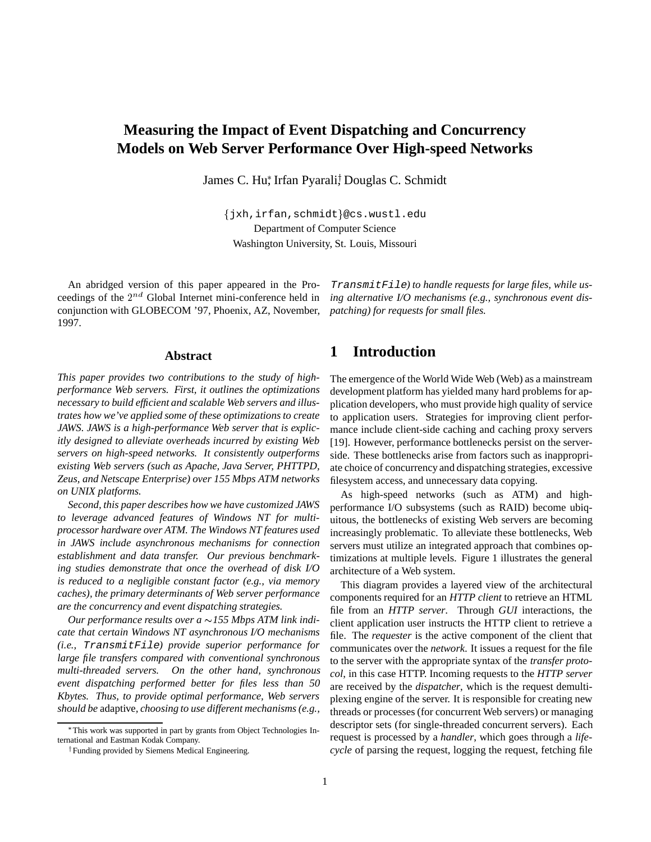# **Measuring the Impact of Event Dispatching and Concurrency Models on Web Server Performance Over High-speed Networks**

James C. Hu\*, Irfan Pyarali! Douglas C. Schmidt

fjxh,irfan,schmidtg@cs.wustl.edu Department of Computer Science Washington University, St. Louis, Missouri

An abridged version of this paper appeared in the Proceedings of the  $2^{nd}$  Global Internet mini-conference held in conjunction with GLOBECOM '97, Phoenix, AZ, November, 1997.

#### **Abstract**

*This paper provides two contributions to the study of highperformance Web servers. First, it outlines the optimizations necessary to build efficient and scalable Web servers and illustrates how we've applied some of these optimizations to create JAWS. JAWS is a high-performance Web server that is explicitly designed to alleviate overheads incurred by existing Web servers on high-speed networks. It consistently outperforms existing Web servers (such as Apache, Java Server, PHTTPD, Zeus, and Netscape Enterprise) over 155 Mbps ATM networks on UNIX platforms.*

*Second, this paper describes how we have customized JAWS to leverage advanced features of Windows NT for multiprocessor hardware over ATM. The Windows NT features used in JAWS include asynchronous mechanisms for connection establishment and data transfer. Our previous benchmarking studies demonstrate that once the overhead of disk I/O is reduced to a negligible constant factor (e.g., via memory caches), the primary determinants of Web server performance are the concurrency and event dispatching strategies.*

*Our performance results over a 155 Mbps ATM link indicate that certain Windows NT asynchronous I/O mechanisms (i.e.,* TransmitFile*) provide superior performance for large file transfers compared with conventional synchronous multi-threaded servers. On the other hand, synchronous event dispatching performed better for files less than 50 Kbytes. Thus, to provide optimal performance, Web servers should be* adaptive*, choosing to use different mechanisms (e.g.,*

TransmitFile*) to handle requests for large files, while using alternative I/O mechanisms (e.g., synchronous event dispatching) for requests for small files.*

## **1 Introduction**

The emergence of the World Wide Web (Web) as a mainstream development platform has yielded many hard problems for application developers, who must provide high quality of service to application users. Strategies for improving client performance include client-side caching and caching proxy servers [19]. However, performance bottlenecks persist on the serverside. These bottlenecks arise from factors such as inappropriate choice of concurrency and dispatching strategies, excessive filesystem access, and unnecessary data copying.

As high-speed networks (such as ATM) and highperformance I/O subsystems (such as RAID) become ubiquitous, the bottlenecks of existing Web servers are becoming increasingly problematic. To alleviate these bottlenecks, Web servers must utilize an integrated approach that combines optimizations at multiple levels. Figure 1 illustrates the general architecture of a Web system.

This diagram provides a layered view of the architectural components required for an *HTTP client* to retrieve an HTML file from an *HTTP server*. Through *GUI* interactions, the client application user instructs the HTTP client to retrieve a file. The *requester* is the active component of the client that communicates over the *network*. It issues a request for the file to the server with the appropriate syntax of the *transfer protocol*, in this case HTTP. Incoming requests to the *HTTP server* are received by the *dispatcher*, which is the request demultiplexing engine of the server. It is responsible for creating new threads or processes (for concurrent Web servers) or managing descriptor sets (for single-threaded concurrent servers). Each request is processed by a *handler*, which goes through a *lifecycle* of parsing the request, logging the request, fetching file

This work was supported in part by grants from Object Technologies International and Eastman Kodak Company.

<sup>&</sup>lt;sup>†</sup> Funding provided by Siemens Medical Engineering.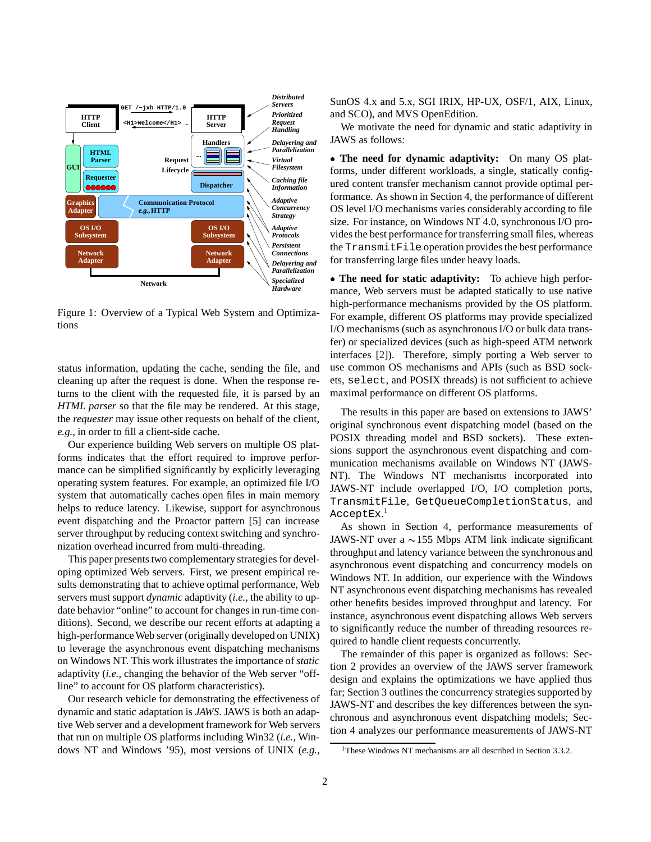

Figure 1: Overview of a Typical Web System and Optimizations

status information, updating the cache, sending the file, and cleaning up after the request is done. When the response returns to the client with the requested file, it is parsed by an *HTML parser* so that the file may be rendered. At this stage, the *requester* may issue other requests on behalf of the client, *e.g.*, in order to fill a client-side cache.

Our experience building Web servers on multiple OS platforms indicates that the effort required to improve performance can be simplified significantly by explicitly leveraging operating system features. For example, an optimized file I/O system that automatically caches open files in main memory helps to reduce latency. Likewise, support for asynchronous event dispatching and the Proactor pattern [5] can increase server throughput by reducing context switching and synchronization overhead incurred from multi-threading.

This paper presents two complementary strategies for developing optimized Web servers. First, we present empirical results demonstrating that to achieve optimal performance, Web servers must support *dynamic* adaptivity (*i.e.*, the ability to update behavior "online" to account for changes in run-time conditions). Second, we describe our recent efforts at adapting a high-performance Web server (originally developed on UNIX) to leverage the asynchronous event dispatching mechanisms on Windows NT. This work illustrates the importance of *static* adaptivity (*i.e.*, changing the behavior of the Web server "offline" to account for OS platform characteristics).

Our research vehicle for demonstrating the effectiveness of dynamic and static adaptation is *JAWS*. JAWS is both an adaptive Web server and a development framework for Web servers that run on multiple OS platforms including Win32 (*i.e.*, Windows NT and Windows '95), most versions of UNIX (*e.g.*,

SunOS 4.x and 5.x, SGI IRIX, HP-UX, OSF/1, AIX, Linux, and SCO), and MVS OpenEdition.

We motivate the need for dynamic and static adaptivity in JAWS as follows:

 **The need for dynamic adaptivity:** On many OS platforms, under different workloads, a single, statically configured content transfer mechanism cannot provide optimal performance. As shown in Section 4, the performance of different OS level I/O mechanisms varies considerably according to file size. For instance, on Windows NT 4.0, synchronous I/O provides the best performance for transferring small files, whereas the TransmitFile operation provides the best performance for transferring large files under heavy loads.

 **The need for static adaptivity:** To achieve high performance, Web servers must be adapted statically to use native high-performance mechanisms provided by the OS platform. For example, different OS platforms may provide specialized I/O mechanisms (such as asynchronous I/O or bulk data transfer) or specialized devices (such as high-speed ATM network interfaces [2]). Therefore, simply porting a Web server to use common OS mechanisms and APIs (such as BSD sockets, select, and POSIX threads) is not sufficient to achieve maximal performance on different OS platforms.

The results in this paper are based on extensions to JAWS' original synchronous event dispatching model (based on the POSIX threading model and BSD sockets). These extensions support the asynchronous event dispatching and communication mechanisms available on Windows NT (JAWS-NT). The Windows NT mechanisms incorporated into JAWS-NT include overlapped I/O, I/O completion ports, TransmitFile, GetQueueCompletionStatus, and AcceptEx. $^{\rm l}$ 

As shown in Section 4, performance measurements of JAWS-NT over a  $\sim$ 155 Mbps ATM link indicate significant throughput and latency variance between the synchronous and asynchronous event dispatching and concurrency models on Windows NT. In addition, our experience with the Windows NT asynchronous event dispatching mechanisms has revealed other benefits besides improved throughput and latency. For instance, asynchronous event dispatching allows Web servers to significantly reduce the number of threading resources required to handle client requests concurrently.

The remainder of this paper is organized as follows: Section 2 provides an overview of the JAWS server framework design and explains the optimizations we have applied thus far; Section 3 outlines the concurrency strategies supported by JAWS-NT and describes the key differences between the synchronous and asynchronous event dispatching models; Section 4 analyzes our performance measurements of JAWS-NT

<sup>&</sup>lt;sup>1</sup>These Windows NT mechanisms are all described in Section 3.3.2.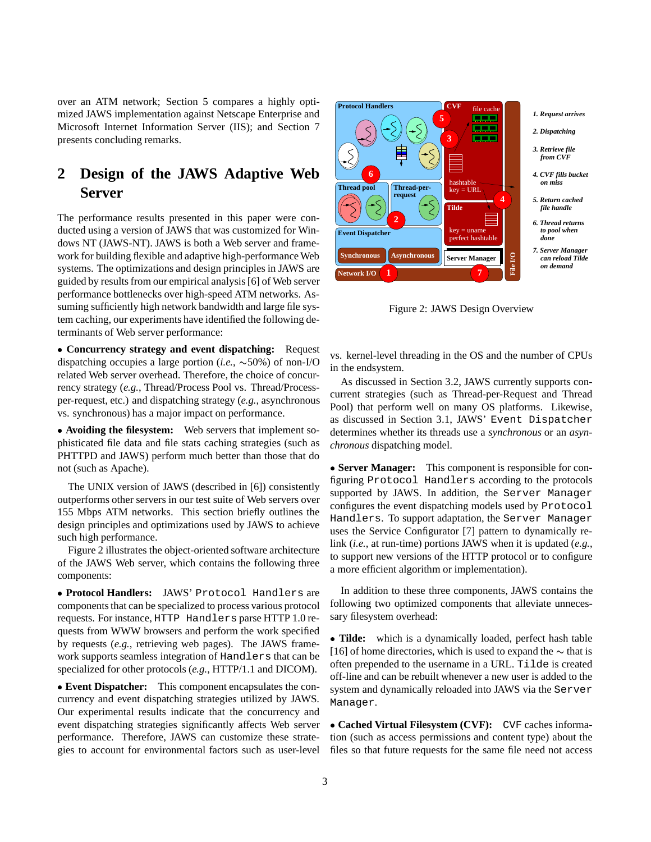over an ATM network; Section 5 compares a highly optimized JAWS implementation against Netscape Enterprise and Microsoft Internet Information Server (IIS); and Section 7 presents concluding remarks.

# **2 Design of the JAWS Adaptive Web Server**

The performance results presented in this paper were conducted using a version of JAWS that was customized for Windows NT (JAWS-NT). JAWS is both a Web server and framework for building flexible and adaptive high-performance Web systems. The optimizations and design principles in JAWS are guided by results from our empirical analysis [6] of Web server performance bottlenecks over high-speed ATM networks. Assuming sufficiently high network bandwidth and large file system caching, our experiments have identified the following determinants of Web server performance:

 **Concurrency strategy and event dispatching:** Request dispatching occupies a large portion (*i.e.*,  $\sim$ 50%) of non-I/O related Web server overhead. Therefore, the choice of concurrency strategy (*e.g.*, Thread/Process Pool vs. Thread/Processper-request, etc.) and dispatching strategy (*e.g.*, asynchronous vs. synchronous) has a major impact on performance.

 **Avoiding the filesystem:** Web servers that implement sophisticated file data and file stats caching strategies (such as PHTTPD and JAWS) perform much better than those that do not (such as Apache).

The UNIX version of JAWS (described in [6]) consistently outperforms other servers in our test suite of Web servers over 155 Mbps ATM networks. This section briefly outlines the design principles and optimizations used by JAWS to achieve such high performance.

Figure 2 illustrates the object-oriented software architecture of the JAWS Web server, which contains the following three components:

 **Protocol Handlers:** JAWS' Protocol Handlers are components that can be specialized to process various protocol requests. For instance, HTTP Handlers parse HTTP 1.0 requests from WWW browsers and perform the work specified by requests (*e.g.*, retrieving web pages). The JAWS framework supports seamless integration of Handlers that can be specialized for other protocols (*e.g.*, HTTP/1.1 and DICOM).

 **Event Dispatcher:** This component encapsulates the concurrency and event dispatching strategies utilized by JAWS. Our experimental results indicate that the concurrency and event dispatching strategies significantly affects Web server performance. Therefore, JAWS can customize these strategies to account for environmental factors such as user-level



Figure 2: JAWS Design Overview

vs. kernel-level threading in the OS and the number of CPUs in the endsystem.

As discussed in Section 3.2, JAWS currently supports concurrent strategies (such as Thread-per-Request and Thread Pool) that perform well on many OS platforms. Likewise, as discussed in Section 3.1, JAWS' Event Dispatcher determines whether its threads use a *synchronous* or an *asynchronous* dispatching model.

 **Server Manager:** This component is responsible for configuring Protocol Handlers according to the protocols supported by JAWS. In addition, the Server Manager configures the event dispatching models used by Protocol Handlers. To support adaptation, the Server Manager uses the Service Configurator [7] pattern to dynamically relink (*i.e.*, at run-time) portions JAWS when it is updated (*e.g.*, to support new versions of the HTTP protocol or to configure a more efficient algorithm or implementation).

In addition to these three components, JAWS contains the following two optimized components that alleviate unnecessary filesystem overhead:

 **Tilde:** which is a dynamically loaded, perfect hash table [16] of home directories, which is used to expand the  $\sim$  that is often prepended to the username in a URL. Tilde is created off-line and can be rebuilt whenever a new user is added to the system and dynamically reloaded into JAWS via the Server Manager.

 **Cached Virtual Filesystem (CVF):** CVF caches information (such as access permissions and content type) about the files so that future requests for the same file need not access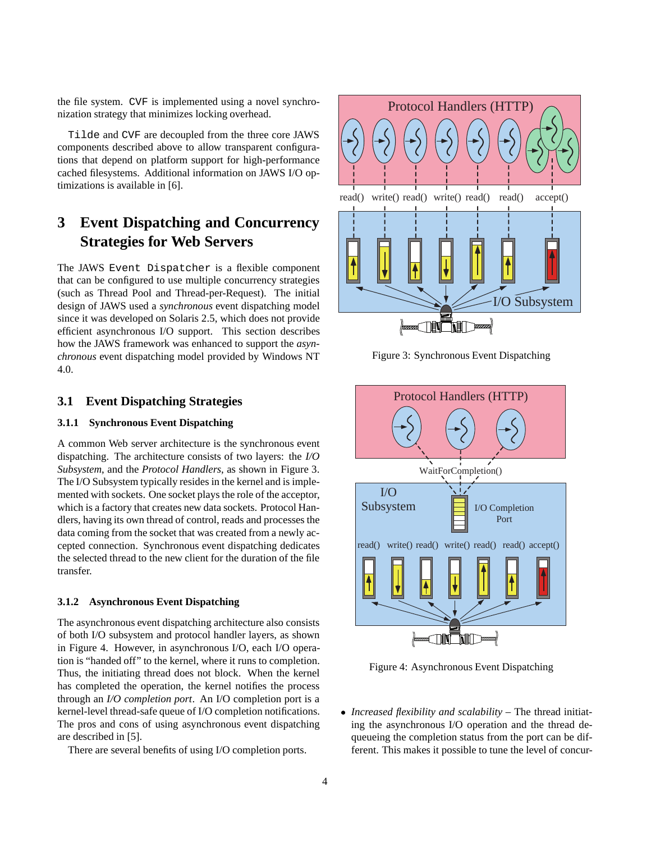the file system. CVF is implemented using a novel synchronization strategy that minimizes locking overhead.

Tilde and CVF are decoupled from the three core JAWS components described above to allow transparent configurations that depend on platform support for high-performance cached filesystems. Additional information on JAWS I/O optimizations is available in [6].

# **3 Event Dispatching and Concurrency Strategies for Web Servers**

The JAWS Event Dispatcher is a flexible component that can be configured to use multiple concurrency strategies (such as Thread Pool and Thread-per-Request). The initial design of JAWS used a *synchronous* event dispatching model since it was developed on Solaris 2.5, which does not provide efficient asynchronous I/O support. This section describes how the JAWS framework was enhanced to support the *asynchronous* event dispatching model provided by Windows NT 4.0.

#### **3.1 Event Dispatching Strategies**

#### **3.1.1 Synchronous Event Dispatching**

A common Web server architecture is the synchronous event dispatching. The architecture consists of two layers: the *I/O Subsystem*, and the *Protocol Handlers*, as shown in Figure 3. The I/O Subsystem typically resides in the kernel and is implemented with sockets. One socket plays the role of the acceptor, which is a factory that creates new data sockets. Protocol Handlers, having its own thread of control, reads and processes the data coming from the socket that was created from a newly accepted connection. Synchronous event dispatching dedicates the selected thread to the new client for the duration of the file transfer.

#### **3.1.2 Asynchronous Event Dispatching**

The asynchronous event dispatching architecture also consists of both I/O subsystem and protocol handler layers, as shown in Figure 4. However, in asynchronous I/O, each I/O operation is "handed off" to the kernel, where it runs to completion. Thus, the initiating thread does not block. When the kernel has completed the operation, the kernel notifies the process through an *I/O completion port*. An I/O completion port is a kernel-level thread-safe queue of I/O completion notifications. The pros and cons of using asynchronous event dispatching are described in [5].

There are several benefits of using I/O completion ports.



Figure 3: Synchronous Event Dispatching



Figure 4: Asynchronous Event Dispatching

 *Increased flexibility and scalability* – The thread initiating the asynchronous I/O operation and the thread dequeueing the completion status from the port can be different. This makes it possible to tune the level of concur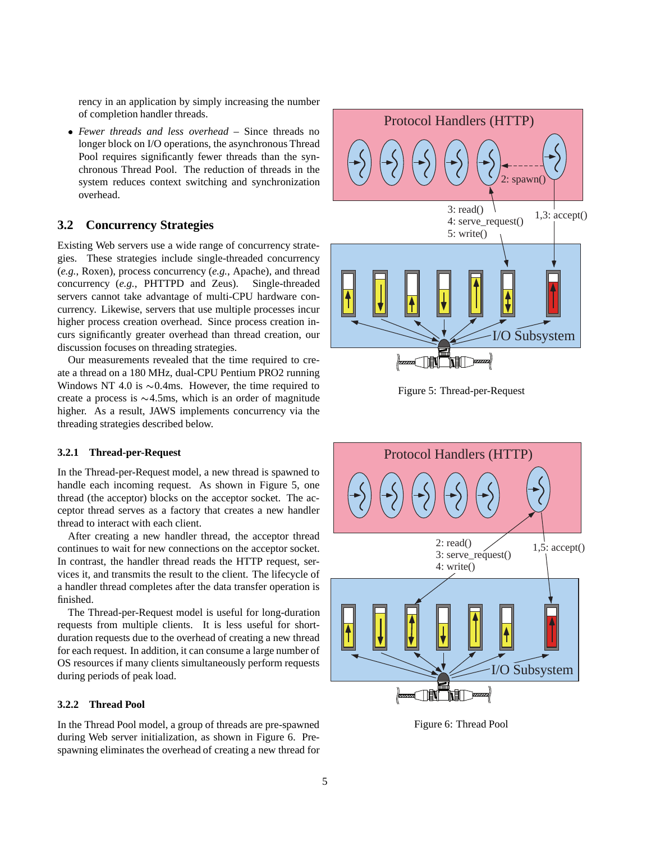rency in an application by simply increasing the number of completion handler threads.

 *Fewer threads and less overhead* – Since threads no longer block on I/O operations, the asynchronous Thread Pool requires significantly fewer threads than the synchronous Thread Pool. The reduction of threads in the system reduces context switching and synchronization overhead.

#### **3.2 Concurrency Strategies**

Existing Web servers use a wide range of concurrency strategies. These strategies include single-threaded concurrency (*e.g.*, Roxen), process concurrency (*e.g.*, Apache), and thread concurrency (*e.g.*, PHTTPD and Zeus). Single-threaded servers cannot take advantage of multi-CPU hardware concurrency. Likewise, servers that use multiple processes incur higher process creation overhead. Since process creation incurs significantly greater overhead than thread creation, our discussion focuses on threading strategies.

Our measurements revealed that the time required to create a thread on a 180 MHz, dual-CPU Pentium PRO2 running Windows NT 4.0 is  $\sim 0.4$ ms. However, the time required to create a process is  $\sim$ 4.5ms, which is an order of magnitude higher. As a result, JAWS implements concurrency via the threading strategies described below.

#### **3.2.1 Thread-per-Request**

In the Thread-per-Request model, a new thread is spawned to handle each incoming request. As shown in Figure 5, one thread (the acceptor) blocks on the acceptor socket. The acceptor thread serves as a factory that creates a new handler thread to interact with each client.

After creating a new handler thread, the acceptor thread continues to wait for new connections on the acceptor socket. In contrast, the handler thread reads the HTTP request, services it, and transmits the result to the client. The lifecycle of a handler thread completes after the data transfer operation is finished.

The Thread-per-Request model is useful for long-duration requests from multiple clients. It is less useful for shortduration requests due to the overhead of creating a new thread for each request. In addition, it can consume a large number of OS resources if many clients simultaneously perform requests during periods of peak load.

#### **3.2.2 Thread Pool**

In the Thread Pool model, a group of threads are pre-spawned during Web server initialization, as shown in Figure 6. Prespawning eliminates the overhead of creating a new thread for



Figure 5: Thread-per-Request



Figure 6: Thread Pool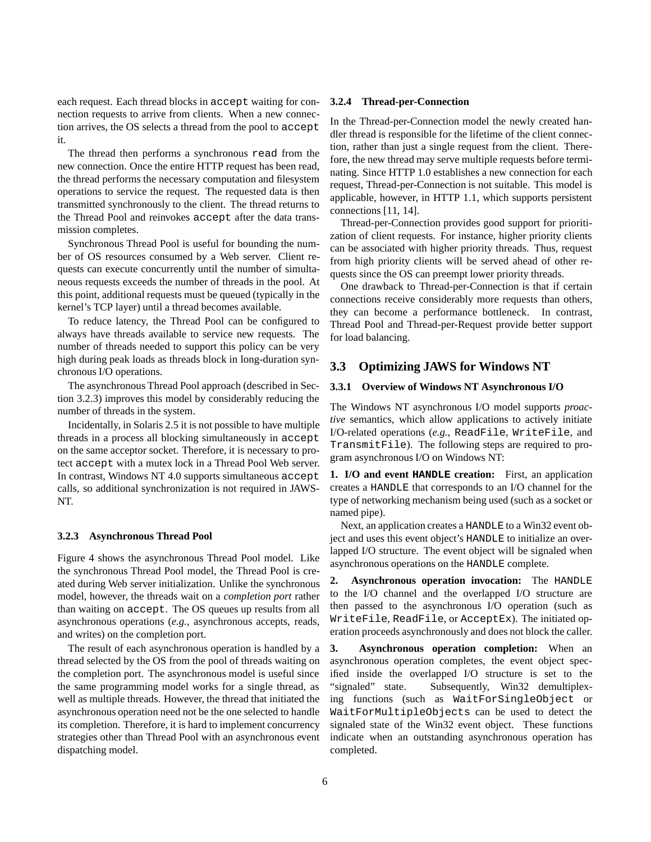each request. Each thread blocks in accept waiting for connection requests to arrive from clients. When a new connection arrives, the OS selects a thread from the pool to accept it.

The thread then performs a synchronous read from the new connection. Once the entire HTTP request has been read, the thread performs the necessary computation and filesystem operations to service the request. The requested data is then transmitted synchronously to the client. The thread returns to the Thread Pool and reinvokes accept after the data transmission completes.

Synchronous Thread Pool is useful for bounding the number of OS resources consumed by a Web server. Client requests can execute concurrently until the number of simultaneous requests exceeds the number of threads in the pool. At this point, additional requests must be queued (typically in the kernel's TCP layer) until a thread becomes available.

To reduce latency, the Thread Pool can be configured to always have threads available to service new requests. The number of threads needed to support this policy can be very high during peak loads as threads block in long-duration synchronous I/O operations.

The asynchronous Thread Pool approach (described in Section 3.2.3) improves this model by considerably reducing the number of threads in the system.

Incidentally, in Solaris 2.5 it is not possible to have multiple threads in a process all blocking simultaneously in accept on the same acceptor socket. Therefore, it is necessary to protect accept with a mutex lock in a Thread Pool Web server. In contrast, Windows NT 4.0 supports simultaneous accept calls, so additional synchronization is not required in JAWS-NT.

#### **3.2.3 Asynchronous Thread Pool**

Figure 4 shows the asynchronous Thread Pool model. Like the synchronous Thread Pool model, the Thread Pool is created during Web server initialization. Unlike the synchronous model, however, the threads wait on a *completion port* rather than waiting on accept. The OS queues up results from all asynchronous operations (*e.g.*, asynchronous accepts, reads, and writes) on the completion port.

The result of each asynchronous operation is handled by a thread selected by the OS from the pool of threads waiting on the completion port. The asynchronous model is useful since the same programming model works for a single thread, as well as multiple threads. However, the thread that initiated the asynchronous operation need not be the one selected to handle its completion. Therefore, it is hard to implement concurrency strategies other than Thread Pool with an asynchronous event dispatching model.

#### **3.2.4 Thread-per-Connection**

In the Thread-per-Connection model the newly created handler thread is responsible for the lifetime of the client connection, rather than just a single request from the client. Therefore, the new thread may serve multiple requests before terminating. Since HTTP 1.0 establishes a new connection for each request, Thread-per-Connection is not suitable. This model is applicable, however, in HTTP 1.1, which supports persistent connections [11, 14].

Thread-per-Connection provides good support for prioritization of client requests. For instance, higher priority clients can be associated with higher priority threads. Thus, request from high priority clients will be served ahead of other requests since the OS can preempt lower priority threads.

One drawback to Thread-per-Connection is that if certain connections receive considerably more requests than others, they can become a performance bottleneck. In contrast, Thread Pool and Thread-per-Request provide better support for load balancing.

#### **3.3 Optimizing JAWS for Windows NT**

#### **3.3.1 Overview of Windows NT Asynchronous I/O**

The Windows NT asynchronous I/O model supports *proactive* semantics, which allow applications to actively initiate I/O-related operations (*e.g.*, ReadFile, WriteFile, and TransmitFile). The following steps are required to program asynchronous I/O on Windows NT:

**1. I/O and event HANDLE creation:** First, an application creates a HANDLE that corresponds to an I/O channel for the type of networking mechanism being used (such as a socket or named pipe).

Next, an application creates a HANDLE to a Win32 event object and uses this event object's HANDLE to initialize an overlapped I/O structure. The event object will be signaled when asynchronous operations on the HANDLE complete.

**2. Asynchronous operation invocation:** The HANDLE to the I/O channel and the overlapped I/O structure are then passed to the asynchronous I/O operation (such as WriteFile, ReadFile, or AcceptEx). The initiated operation proceeds asynchronously and does not block the caller.

**3. Asynchronous operation completion:** When an asynchronous operation completes, the event object specified inside the overlapped I/O structure is set to the "signaled" state. Subsequently, Win32 demultiplexing functions (such as WaitForSingleObject or WaitForMultipleObjects can be used to detect the signaled state of the Win32 event object. These functions indicate when an outstanding asynchronous operation has completed.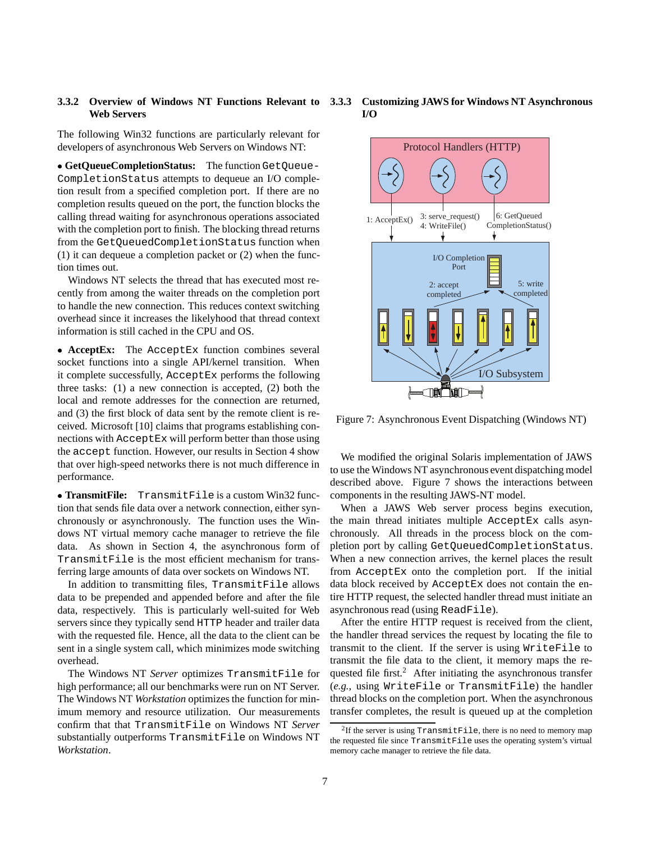# **Web Servers**

The following Win32 functions are particularly relevant for developers of asynchronous Web Servers on Windows NT:

 **GetQueueCompletionStatus:** The function GetQueue-CompletionStatus attempts to dequeue an I/O completion result from a specified completion port. If there are no completion results queued on the port, the function blocks the calling thread waiting for asynchronous operations associated with the completion port to finish. The blocking thread returns from the GetQueuedCompletionStatus function when (1) it can dequeue a completion packet or (2) when the function times out.

Windows NT selects the thread that has executed most recently from among the waiter threads on the completion port to handle the new connection. This reduces context switching overhead since it increases the likelyhood that thread context information is still cached in the CPU and OS.

 **AcceptEx:** The AcceptEx function combines several socket functions into a single API/kernel transition. When it complete successfully, AcceptEx performs the following three tasks: (1) a new connection is accepted, (2) both the local and remote addresses for the connection are returned, and (3) the first block of data sent by the remote client is received. Microsoft [10] claims that programs establishing connections with AcceptEx will perform better than those using the accept function. However, our results in Section 4 show that over high-speed networks there is not much difference in performance.

 **TransmitFile:** TransmitFile is a custom Win32 function that sends file data over a network connection, either synchronously or asynchronously. The function uses the Windows NT virtual memory cache manager to retrieve the file data. As shown in Section 4, the asynchronous form of TransmitFile is the most efficient mechanism for transferring large amounts of data over sockets on Windows NT.

In addition to transmitting files, TransmitFile allows data to be prepended and appended before and after the file data, respectively. This is particularly well-suited for Web servers since they typically send HTTP header and trailer data with the requested file. Hence, all the data to the client can be sent in a single system call, which minimizes mode switching overhead.

The Windows NT *Server* optimizes TransmitFile for high performance; all our benchmarks were run on NT Server. The Windows NT *Workstation* optimizes the function for minimum memory and resource utilization. Our measurements confirm that that TransmitFile on Windows NT *Server* substantially outperforms TransmitFile on Windows NT *Workstation*.





Figure 7: Asynchronous Event Dispatching (Windows NT)

We modified the original Solaris implementation of JAWS to use the Windows NT asynchronous event dispatching model described above. Figure 7 shows the interactions between components in the resulting JAWS-NT model.

When a JAWS Web server process begins execution, the main thread initiates multiple AcceptEx calls asynchronously. All threads in the process block on the completion port by calling GetQueuedCompletionStatus. When a new connection arrives, the kernel places the result from AcceptEx onto the completion port. If the initial data block received by AcceptEx does not contain the entire HTTP request, the selected handler thread must initiate an asynchronous read (using ReadFile).

After the entire HTTP request is received from the client, the handler thread services the request by locating the file to transmit to the client. If the server is using WriteFile to transmit the file data to the client, it memory maps the requested file first.<sup>2</sup> After initiating the asynchronous transfer (*e.g.*, using WriteFile or TransmitFile) the handler thread blocks on the completion port. When the asynchronous transfer completes, the result is queued up at the completion

<sup>&</sup>lt;sup>2</sup>If the server is using  $TransmitFile$ , there is no need to memory map the requested file since TransmitFile uses the operating system's virtual memory cache manager to retrieve the file data.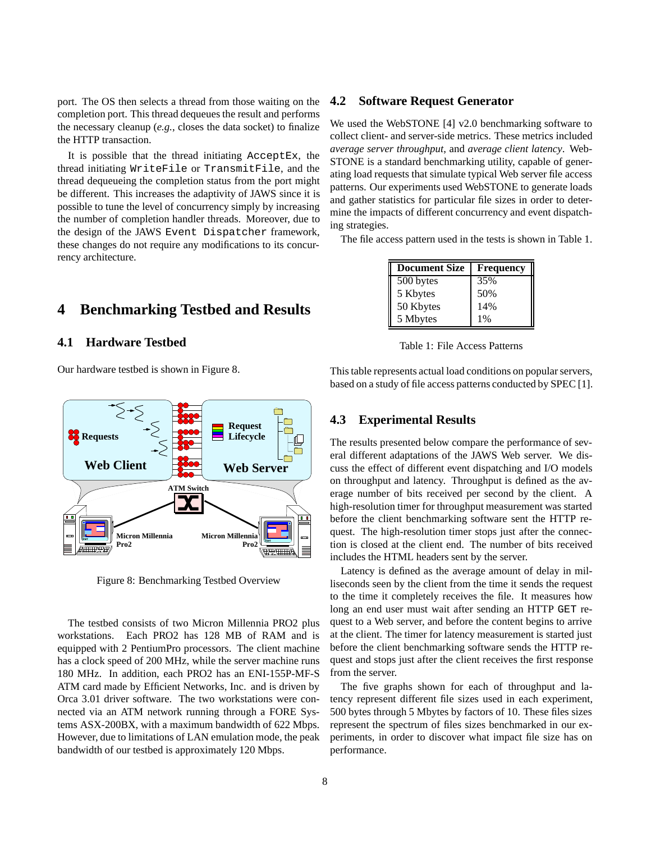port. The OS then selects a thread from those waiting on the completion port. This thread dequeues the result and performs the necessary cleanup (*e.g.*, closes the data socket) to finalize the HTTP transaction.

It is possible that the thread initiating AcceptEx, the thread initiating WriteFile or TransmitFile, and the thread dequeueing the completion status from the port might be different. This increases the adaptivity of JAWS since it is possible to tune the level of concurrency simply by increasing the number of completion handler threads. Moreover, due to the design of the JAWS Event Dispatcher framework, these changes do not require any modifications to its concurrency architecture.

## **4 Benchmarking Testbed and Results**

#### **4.1 Hardware Testbed**

Our hardware testbed is shown in Figure 8.



Figure 8: Benchmarking Testbed Overview

The testbed consists of two Micron Millennia PRO2 plus workstations. Each PRO2 has 128 MB of RAM and is equipped with 2 PentiumPro processors. The client machine has a clock speed of 200 MHz, while the server machine runs 180 MHz. In addition, each PRO2 has an ENI-155P-MF-S ATM card made by Efficient Networks, Inc. and is driven by Orca 3.01 driver software. The two workstations were connected via an ATM network running through a FORE Systems ASX-200BX, with a maximum bandwidth of 622 Mbps. However, due to limitations of LAN emulation mode, the peak bandwidth of our testbed is approximately 120 Mbps.

#### **4.2 Software Request Generator**

We used the WebSTONE [4] v2.0 benchmarking software to collect client- and server-side metrics. These metrics included *average server throughput*, and *average client latency*. Web-STONE is a standard benchmarking utility, capable of generating load requests that simulate typical Web server file access patterns. Our experiments used WebSTONE to generate loads and gather statistics for particular file sizes in order to determine the impacts of different concurrency and event dispatching strategies.

The file access pattern used in the tests is shown in Table 1.

| <b>Document Size</b> | <b>Frequency</b> |
|----------------------|------------------|
| 500 bytes            | 35%              |
| 5 Kbytes             | 50%              |
| 50 Kbytes            | 14%              |
| 5 Mbytes             | 1%               |

Table 1: File Access Patterns

This table represents actual load conditions on popular servers, based on a study of file access patterns conducted by SPEC [1].

#### **4.3 Experimental Results**

The results presented below compare the performance of several different adaptations of the JAWS Web server. We discuss the effect of different event dispatching and I/O models on throughput and latency. Throughput is defined as the average number of bits received per second by the client. A high-resolution timer for throughput measurement was started before the client benchmarking software sent the HTTP request. The high-resolution timer stops just after the connection is closed at the client end. The number of bits received includes the HTML headers sent by the server.

Latency is defined as the average amount of delay in milliseconds seen by the client from the time it sends the request to the time it completely receives the file. It measures how long an end user must wait after sending an HTTP GET request to a Web server, and before the content begins to arrive at the client. The timer for latency measurement is started just before the client benchmarking software sends the HTTP request and stops just after the client receives the first response from the server.

The five graphs shown for each of throughput and latency represent different file sizes used in each experiment, 500 bytes through 5 Mbytes by factors of 10. These files sizes represent the spectrum of files sizes benchmarked in our experiments, in order to discover what impact file size has on performance.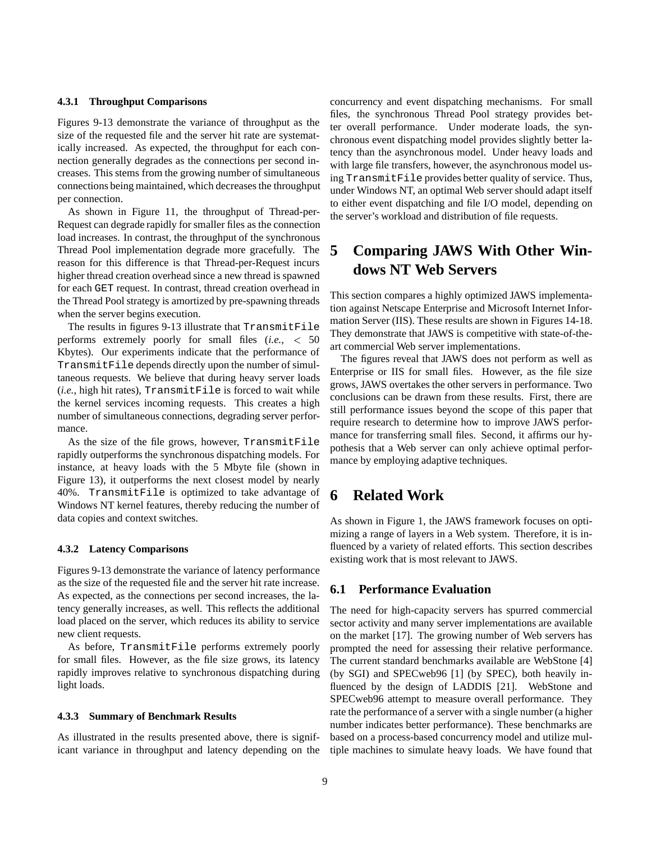#### **4.3.1 Throughput Comparisons**

Figures 9-13 demonstrate the variance of throughput as the size of the requested file and the server hit rate are systematically increased. As expected, the throughput for each connection generally degrades as the connections per second increases. This stems from the growing number of simultaneous connections being maintained, which decreases the throughput per connection.

As shown in Figure 11, the throughput of Thread-per-Request can degrade rapidly for smaller files as the connection load increases. In contrast, the throughput of the synchronous Thread Pool implementation degrade more gracefully. The reason for this difference is that Thread-per-Request incurs higher thread creation overhead since a new thread is spawned for each GET request. In contrast, thread creation overhead in the Thread Pool strategy is amortized by pre-spawning threads when the server begins execution.

The results in figures 9-13 illustrate that TransmitFile performs extremely poorly for small files (*i.e.,* <sup>&</sup>lt; 50 Kbytes). Our experiments indicate that the performance of TransmitFile depends directly upon the number of simultaneous requests. We believe that during heavy server loads (*i.e.*, high hit rates), TransmitFile is forced to wait while the kernel services incoming requests. This creates a high number of simultaneous connections, degrading server performance.

As the size of the file grows, however, TransmitFile rapidly outperforms the synchronous dispatching models. For instance, at heavy loads with the 5 Mbyte file (shown in Figure 13), it outperforms the next closest model by nearly 40%. TransmitFile is optimized to take advantage of Windows NT kernel features, thereby reducing the number of data copies and context switches.

#### **4.3.2 Latency Comparisons**

Figures 9-13 demonstrate the variance of latency performance as the size of the requested file and the server hit rate increase. As expected, as the connections per second increases, the latency generally increases, as well. This reflects the additional load placed on the server, which reduces its ability to service new client requests.

As before, TransmitFile performs extremely poorly for small files. However, as the file size grows, its latency rapidly improves relative to synchronous dispatching during light loads.

#### **4.3.3 Summary of Benchmark Results**

As illustrated in the results presented above, there is significant variance in throughput and latency depending on the concurrency and event dispatching mechanisms. For small files, the synchronous Thread Pool strategy provides better overall performance. Under moderate loads, the synchronous event dispatching model provides slightly better latency than the asynchronous model. Under heavy loads and with large file transfers, however, the asynchronous model using TransmitFile provides better quality of service. Thus, under Windows NT, an optimal Web server should adapt itself to either event dispatching and file I/O model, depending on the server's workload and distribution of file requests.

# **5 Comparing JAWS With Other Windows NT Web Servers**

This section compares a highly optimized JAWS implementation against Netscape Enterprise and Microsoft Internet Information Server (IIS). These results are shown in Figures 14-18. They demonstrate that JAWS is competitive with state-of-theart commercial Web server implementations.

The figures reveal that JAWS does not perform as well as Enterprise or IIS for small files. However, as the file size grows, JAWS overtakes the other servers in performance. Two conclusions can be drawn from these results. First, there are still performance issues beyond the scope of this paper that require research to determine how to improve JAWS performance for transferring small files. Second, it affirms our hypothesis that a Web server can only achieve optimal performance by employing adaptive techniques.

# **6 Related Work**

As shown in Figure 1, the JAWS framework focuses on optimizing a range of layers in a Web system. Therefore, it is influenced by a variety of related efforts. This section describes existing work that is most relevant to JAWS.

### **6.1 Performance Evaluation**

The need for high-capacity servers has spurred commercial sector activity and many server implementations are available on the market [17]. The growing number of Web servers has prompted the need for assessing their relative performance. The current standard benchmarks available are WebStone [4] (by SGI) and SPECweb96 [1] (by SPEC), both heavily influenced by the design of LADDIS [21]. WebStone and SPECweb96 attempt to measure overall performance. They rate the performance of a server with a single number (a higher number indicates better performance). These benchmarks are based on a process-based concurrency model and utilize multiple machines to simulate heavy loads. We have found that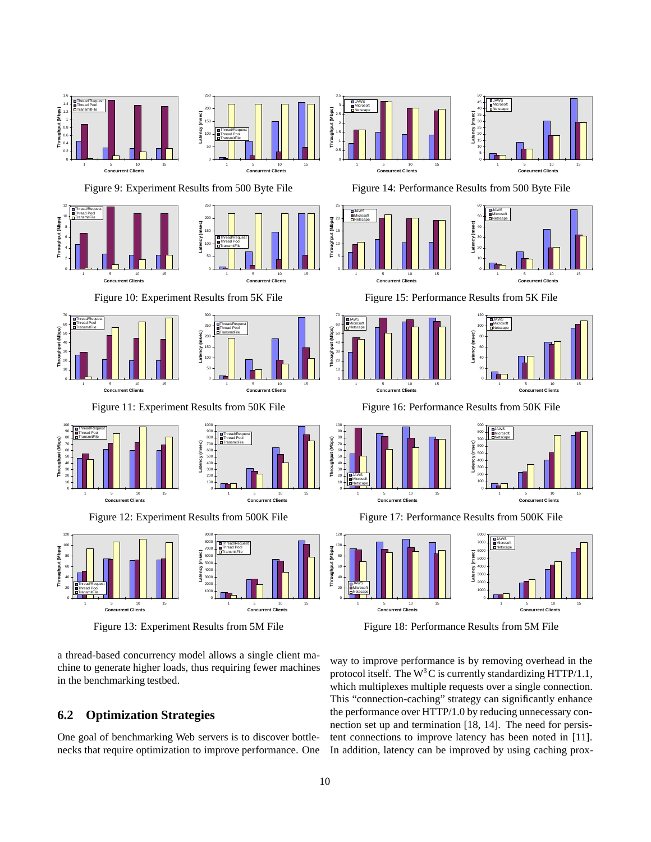

a thread-based concurrency model allows a single client machine to generate higher loads, thus requiring fewer machines in the benchmarking testbed.

## **6.2 Optimization Strategies**

One goal of benchmarking Web servers is to discover bottlenecks that require optimization to improve performance. One way to improve performance is by removing overhead in the protocol itself. The  $W^3C$  is currently standardizing HTTP/1.1, which multiplexes multiple requests over a single connection. This "connection-caching" strategy can significantly enhance the performance over HTTP/1.0 by reducing unnecessary connection set up and termination [18, 14]. The need for persistent connections to improve latency has been noted in [11]. In addition, latency can be improved by using caching prox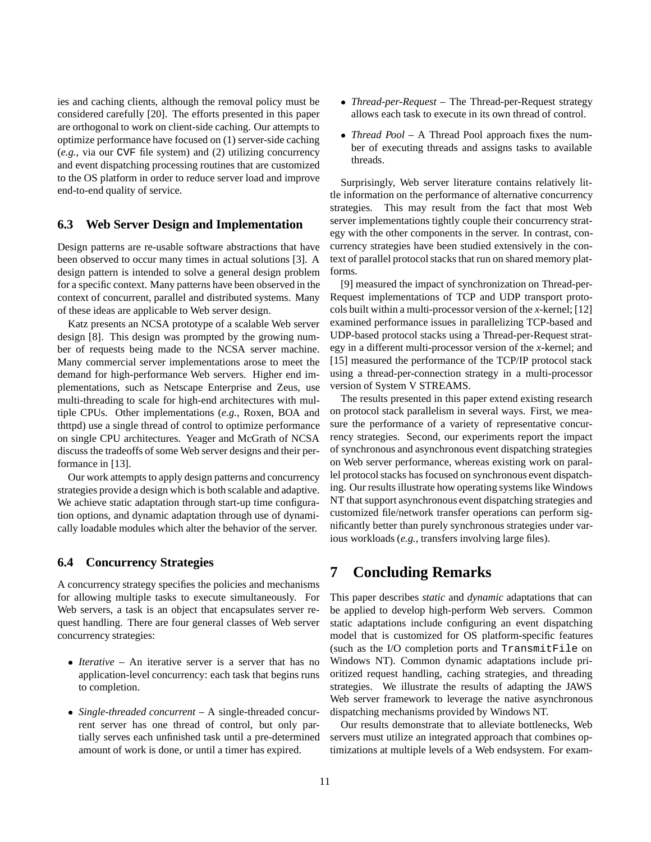ies and caching clients, although the removal policy must be considered carefully [20]. The efforts presented in this paper are orthogonal to work on client-side caching. Our attempts to optimize performance have focused on (1) server-side caching (*e.g.,* via our CVF file system) and (2) utilizing concurrency and event dispatching processing routines that are customized to the OS platform in order to reduce server load and improve end-to-end quality of service.

#### **6.3 Web Server Design and Implementation**

Design patterns are re-usable software abstractions that have been observed to occur many times in actual solutions [3]. A design pattern is intended to solve a general design problem for a specific context. Many patterns have been observed in the context of concurrent, parallel and distributed systems. Many of these ideas are applicable to Web server design.

Katz presents an NCSA prototype of a scalable Web server design [8]. This design was prompted by the growing number of requests being made to the NCSA server machine. Many commercial server implementations arose to meet the demand for high-performance Web servers. Higher end implementations, such as Netscape Enterprise and Zeus, use multi-threading to scale for high-end architectures with multiple CPUs. Other implementations (*e.g.*, Roxen, BOA and thttpd) use a single thread of control to optimize performance on single CPU architectures. Yeager and McGrath of NCSA discuss the tradeoffs of some Web server designs and their performance in [13].

Our work attempts to apply design patterns and concurrency strategies provide a design which is both scalable and adaptive. We achieve static adaptation through start-up time configuration options, and dynamic adaptation through use of dynamically loadable modules which alter the behavior of the server.

#### **6.4 Concurrency Strategies**

A concurrency strategy specifies the policies and mechanisms for allowing multiple tasks to execute simultaneously. For Web servers, a task is an object that encapsulates server request handling. There are four general classes of Web server concurrency strategies:

- *Iterative* An iterative server is a server that has no application-level concurrency: each task that begins runs to completion.
- *Single-threaded concurrent* A single-threaded concurrent server has one thread of control, but only partially serves each unfinished task until a pre-determined amount of work is done, or until a timer has expired.
- *Thread-per-Request* The Thread-per-Request strategy allows each task to execute in its own thread of control.
- *Thread Pool* A Thread Pool approach fixes the number of executing threads and assigns tasks to available threads.

Surprisingly, Web server literature contains relatively little information on the performance of alternative concurrency strategies. This may result from the fact that most Web server implementations tightly couple their concurrency strategy with the other components in the server. In contrast, concurrency strategies have been studied extensively in the context of parallel protocol stacks that run on shared memory platforms.

[9] measured the impact of synchronization on Thread-per-Request implementations of TCP and UDP transport protocols built within a multi-processor version of the *x*-kernel; [12] examined performance issues in parallelizing TCP-based and UDP-based protocol stacks using a Thread-per-Request strategy in a different multi-processor version of the *x*-kernel; and [15] measured the performance of the TCP/IP protocol stack using a thread-per-connection strategy in a multi-processor version of System V STREAMS.

The results presented in this paper extend existing research on protocol stack parallelism in several ways. First, we measure the performance of a variety of representative concurrency strategies. Second, our experiments report the impact of synchronous and asynchronous event dispatching strategies on Web server performance, whereas existing work on parallel protocol stacks has focused on synchronous event dispatching. Our results illustrate how operating systems like Windows NT that support asynchronous event dispatching strategies and customized file/network transfer operations can perform significantly better than purely synchronous strategies under various workloads (*e.g.*, transfers involving large files).

# **7 Concluding Remarks**

This paper describes *static* and *dynamic* adaptations that can be applied to develop high-perform Web servers. Common static adaptations include configuring an event dispatching model that is customized for OS platform-specific features (such as the I/O completion ports and TransmitFile on Windows NT). Common dynamic adaptations include prioritized request handling, caching strategies, and threading strategies. We illustrate the results of adapting the JAWS Web server framework to leverage the native asynchronous dispatching mechanisms provided by Windows NT.

Our results demonstrate that to alleviate bottlenecks, Web servers must utilize an integrated approach that combines optimizations at multiple levels of a Web endsystem. For exam